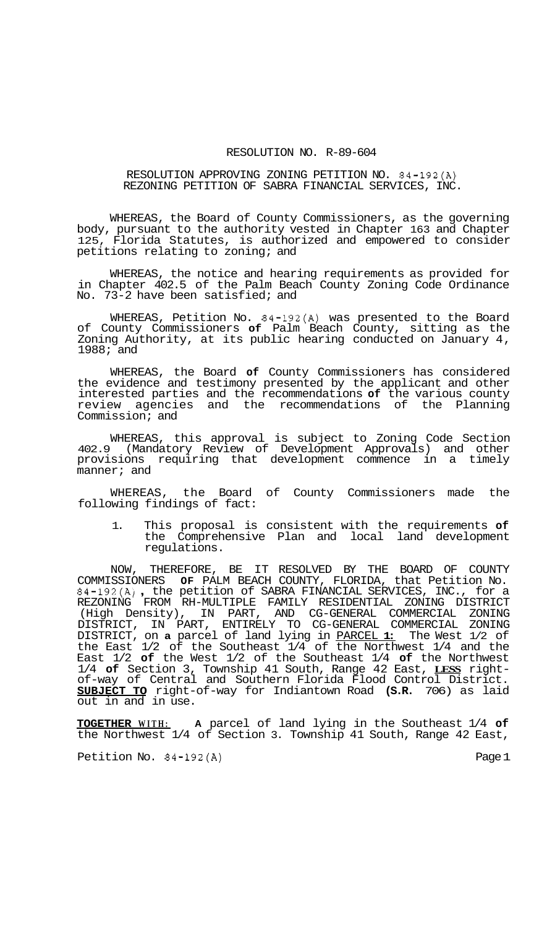## RESOLUTION NO. R-89-604

## RESOLUTION APPROVING ZONING PETITION NO. 84-192(A) REZONING PETITION OF SABRA FINANCIAL SERVICES, INC.

WHEREAS, the Board of County Commissioners, as the governing body, pursuant to the authority vested in Chapter 163 and Chapter 125, Florida Statutes, is authorized and empowered to consider petitions relating to zoning; and

WHEREAS, the notice and hearing requirements as provided for in Chapter 402.5 of the Palm Beach County Zoning Code Ordinance No. 73-2 have been satisfied; and

WHEREAS, Petition No. 84-192(A) was presented to the Board of County Commissioners **of** Palm Beach County, sitting as the Zoning Authority, at its public hearing conducted on January 4, 1988; and

WHEREAS, the Board **of** County Commissioners has considered the evidence and testimony presented by the applicant and other interested parties and the recommendations **of** the various county review agencies and the recommendations of the Planning Commission; and

WHEREAS, this approval is subject to Zoning Code Section 402.9 (Mandatory Review of Development Approvals) and other provisions requiring that development commence in a timely manner; and

WHEREAS, the Board of County Commissioners made the following findings of fact:

1. This proposal is consistent with the requirements **of**  the Comprehensive Plan and local land development regulations.

NOW, THEREFORE, BE IT RESOLVED BY THE BOARD OF COUNTY COMMISSIONERS **OF** PALM BEACH COUNTY, FLORIDA, that Petition No. 84-192(A) , the petition of SABRA FINANCIAL SERVICES, INC., for a (High Density), IN PART, AND CG-GENERAL COMMERCIAL ZONING DISTRICT, on **a** parcel of land lying in PARCEL **1:** The West 1/2 of the East 1/2 of the Southeast 1/4 of the Northwest 1/4 and the East 1/2 **of** the West 1/2 of the Southeast 1/4 **of** the Northwest 1/4 **of** Section 3, Township 41 South, Range 42 East, **LESS** right- of-way of Central and Southern Florida Flood Control District. **SUBJECT TO** right-of-way for Indiantown Road **(S.R.** 706) as laid out in and in use. REZONING FROM RH-MULTIPLE FAMILY RESIDENTIAL ZONING DISTRICT DISTRICT, IN PART, ENTIRELY TO CG-GENERAL COMMERCIAL ZONING

**TOGETHER WITH: A** parcel of land lying in the Southeast 1/4 **of**  the Northwest 1/4 of Section 3. Township 41 South, Range 42 East,

Petition No. 84-192(A) Page 1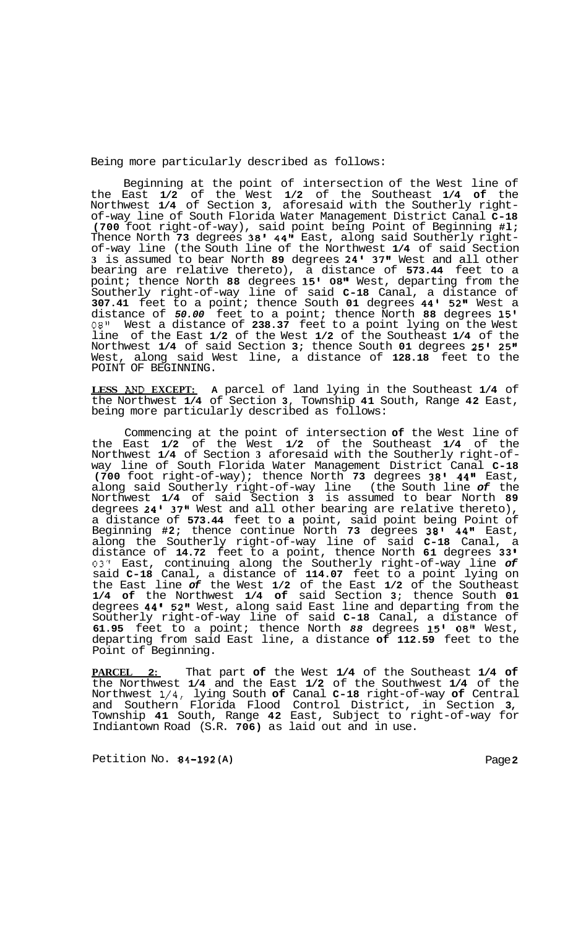Being more particularly described as follows:

Beginning at the point of intersection of the West line of the East **1/2** of the West **1/2** of the Southeast **1/4 of** the Northwest **1/4** of Section **3,** aforesaid with the Southerly right- of-way line of South Florida Water Management District Canal **C-18 (700** foot right-of-way), said point being Point of Beginning **#l;**  Thence North **73** degrees **38' 44"** East, along said Southerly right- of-way line (the South line of the Northwest **1/4** of said Section **3** is assumed to bear North **89** degrees **24' 37"** West and all other bearing are relative thereto), a distance of **573.44** feet to a point; thence North **88** degrees **15' 08"** West, departing from the Southerly right-of-way line of said **C-18** Canal, a distance of **307.41** feet to a point; thence South **01** degrees **44' 52"** West a distance of *50.00* feet to a point; thence North **88** degrees **15'**  *08"* West a distance of **238.37** feet to a point lying on the West line of the East **1/2** of the West **1/2** of the Southeast **1/4** of the Northwest **1/4** of said Section **3;** thence South **01** degrees **25' 25"**  West, along said West line, a distance of **128.18** feet to the POINT OF BEGINNING.

**LESS AWD EXCEPT: A** parcel of land lying in the Southeast **1/4** of the Northwest **1/4** of Section **3,** Township **41** South, Range **42** East, being more particularly described as follows:

Commencing at the point of intersection **of** the West line of the East **1/2** of the West **1/2** of the Southeast **1/4** of the Northwest **1/4** of Section **3** aforesaid with the Southerly right-of- way line of South Florida Water Management District Canal **C-18 (700** foot right-of-way); thence North **73** degrees **38' 44"** East, along said Southerly right-of-way line (the South line *of* the Northwest **1/4** of said Section **3** is assumed to bear North **89**  degrees **24' 37"** West and all other bearing are relative thereto), a distance of **573.44** feet to **a** point, said point being Point of Beginning **#2;** thence continue North **73** degrees **38' 44"** East, along the Southerly right-of-way line of said **C-18** Canal, a distance of **14.72** feet to a point, thence North **61** degrees **33 I 03"** East, continuing along the Southerly right-of-way line *of*  said **C-18** Canal, a distance of **114.07** feet to a point lying on the East line *of* the West **1/2** of the East **1/2** of the Southeast **1/4 of** the Northwest **1/4 of** said Section **3;** thence South **01**  degrees **44' 52"** West, along said East line and departing from the Southerly right-of-way line of said **C-18** Canal, a distance of **61.95** feet to a point; thence North *88* degrees **15'** *08"* West, departing from said East line, a distance **of 112.59** feet to the Point of Beginning.

**PARCEL 2:** That part **of** the West **1/4** of the Southeast **1/4 of**  the Northwest **1/4** and the East **1/2** of the Southwest **1/4** of the Northwest **1/4,** lying South **of** Canal **C-18** right-of-way **of** Central and Southern Florida Flood Control District, in Section **3,**  Township **41** South, Range **42** East, Subject to right-of-way for Indiantown Road (S.R. **706)** as laid out and in use.

Petition No. **84-192 (A)** Page **2**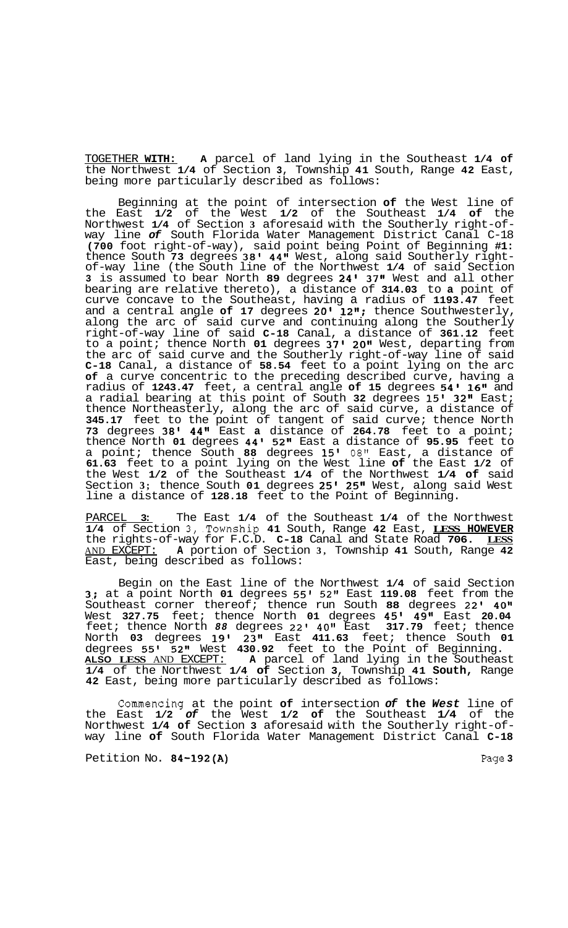TOGETHER **WITH: A** parcel of land lying in the Southeast **1/4 of**  the Northwest **1/4** of Section **3,** Township **41** South, Range **42** East, being more particularly described as follows:

Beginning at the point of intersection **of** the West line of the East **1/2** of the West **1/2** of the Southeast **1/4 of** the Northwest **1/4** of Section **3** aforesaid with the Southerly right-of- way line *of* South Florida Water Management District Canal C-18 **(700** foot right-of-way), said point being Point of Beginning **#1:**  thence South **73** degrees **38' 44"** West, along said Southerly right- of-way line (the South line of the Northwest **1/4** of said Section **3** is assumed to bear North **89** degrees **24' 37"** West and all other bearing are relative thereto), a distance of **314.03** to **a** point of curve concave to the Southeast, having a radius of **1193.47** feet and a central angle **of 17** degrees **20' 12";** thence Southwesterly, along the arc of said curve and continuing along the Southerly right-of-way line of said **C-18** Canal, a distance of **361.12** feet to a point; thence North **01** degrees **37' 20"** West, departing from the arc of said curve and the Southerly right-of-way line of said **C-18** Canal, a distance of **58.54** feet to a point lying on the arc **of** a curve concentric to the preceding described curve, having a radius of **1243.47** feet, a central angle **of 15** degrees **54' 16"** and a radial bearing at this point of South **32** degrees **15' 32"** East; thence Northeasterly, along the arc of said curve, a distance of **345.17** feet to the point of tangent of said curve; thence North **73** degrees **38' 44"** East **a** distance of **264.78** feet to a point; thence North **01** degrees **44' 52"** East a distance of **95.95** feet to a point; thence South **88** degrees **15'** 08" East, a distance of **61.63** feet to a point lying on the West line **of** the East **1/2** of the West **1/2** of the Southeast **1/4** of the Northwest **1/4 of** said Section **3;** thence South **01** degrees **25' 25"** West, along said West line a distance of **128.18** feet to the Point of Beginning.

PARCEL **3:** The East **1/4** of the Southeast **1/4** of the Northwest **1/4** of Section 3,.Township **41** South, Range **42** East, **LESS HOWEVER**  the rights-of-way for F.C.D. **C-18** Canal and State Road **706. LESS**  AND EXCEPT: **A** portion of Section **3,** Township **41** South, Range **42**  East, being described as follows:

Begin on the East line of the Northwest **1/4** of said Section **3%;** at a point North **01** degrees **55' 52"** East **119.08** feet from the Southeast corner thereof; thence run South **88** degrees 22' **40"**  West **327.75** feet; thence North **01** degrees **45' 49"** East **20.04**  feet; thence North *88* degrees 22' **40"** East **317.79** feet; thence North **03** degrees **19' 23"** East **411.63** feet; thence South **01**  degrees **55' 52"** West **430.92** feet to the Point of Beginning. **ALSO LESS** AND EXCEPT: **A** parcel of land lying in the Southeast **1/4** of the Northwest **1/4 of** Section **3,** Township **41 South,** Range **42** East, being more particularly described as follows:

Commencing at the point **of** intersection *of* **the** *West* line of the East **1/2** *of* the West **1/2 of** the Southeast **1/4** of the way line of South Florida Water Management District Canal C-18

Petition No. **84-192(A)** Page **3**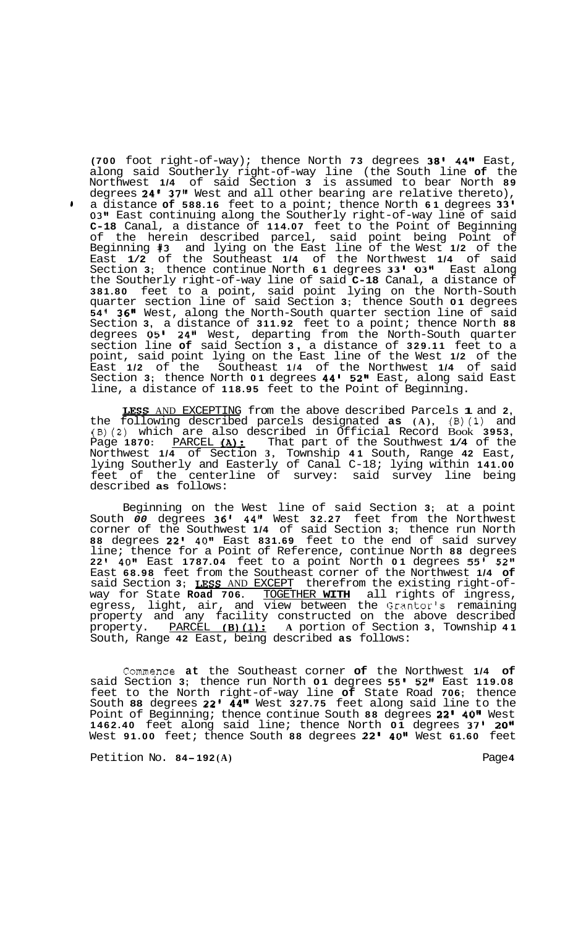**(700** foot right-of-way); thence North **73** degrees **38' 44"** East, along said Southerly right-of-way line (the South line **of** the Northwest **1/4** of said Section **3** is assumed to bear North **89**  degrees **24' 37"** West and all other bearing are relative thereto), **<sup>1</sup>**a distance **of 588.16** feet to a point; thence North **61** degrees **33' 031t** East continuing along the Southerly right-of-way line of said **C-18** Canal, a distance of **114.07** feet to the Point of Beginning of the herein described parcel, said point being Point of Beginning **#3** and lying on the East line of the West **1/2** of the East **1/2** of the Southeast **1/4** of the Northwest **1/4** of said Section **3;** thence continue North **61** degrees **33' 03"** East along the Southerly right-of-way line of said **C-18** Canal, a distance of **381.80** feet to a point, said point lying on the North-South quarter section line of said Section **3;** thence South **01** degrees **54 36"** West, along the North-South quarter section line of said Section **3,** a distance of **311.92** feet to a point; thence North **88**  degrees **05' 24"** West, departing from the North-South quarter section line **of** said Section **3** , a distance of **329.11** feet to a point, said point lying on the East line of the West **1/2** of the East **1/2** of the Southeast **1/4** of the Northwest **1/4** of said Section **3;** thence North **01** degrees **44' 52"** East, along said East line, a distance of **118.95** feet to the Point of Beginning.

**IXSS** AND EXCEPTING from the above described Parcels **1** and **2,**  the following described parcels designated **as (A),** (B)(1) and **(B)(2)** which are also described in Official Record Book **3953,**  Page 1870: PARCEL (A): That part of the Southwest 1/4 of the Northwest **1/4** of Section **3,** Township **41** South, Range **42** East, lying Southerly and Easterly of Canal C-18; lying within **141.00**  feet of the centerline of survey: said survey line being described **as** follows:

Beginning on the West line of said Section **3;** at a point South *00* degrees **36' 44''** West **32.27** feet from the Northwest corner of the Southwest **1/4** of said Section **3;** thence run North **88** degrees **22' 40"** East **831.69** feet to the end of said survey line; thence for a Point of Reference, continue North **88** degrees **22 40tt** East **1787.04** feet to a point North **01** degrees **55' 52''**  East **68.98** feet from the Southeast corner of the Northwest **1/4 of**  said Section **3; USS** AND EXCEPT therefrom the existing right-of- way for State **Road 706.** TOGETHER **WITH** all rights of ingress, egress, light, air, and view between the Grantor's remaining property and any facility constructed on the above described property. PARCEL **[B)(1): A** portion of Section **3,** Township **41**  South, Range **42** East, being described **as** follows:

Commence **at** the Southeast corner **of** the Northwest **1/4 of**  said Section **3;** thence run North **01** degrees *55'* **52"** East **119.08**  feet to the North right-of-way line **of** State Road **706;** thence South **88** degrees **22' 44"** West **327.75** feet along said line to the Point of Beginning; thence continue South 88 degrees 22' 40" West **1462.40** feet along said line; thence North **01** degrees **37' 20''**  West **91.00** feet; thence South **88** degrees **22' 40"** West **61.60** feet

Petition No.  $84-192(A)$  Page 4